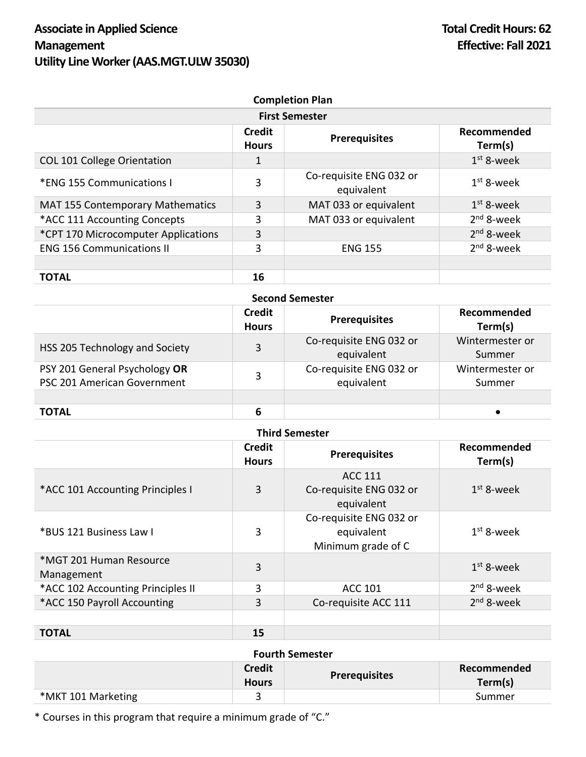| <b>Completion Plan</b><br><b>First Semester</b> |    |                                       |              |
|-------------------------------------------------|----|---------------------------------------|--------------|
|                                                 |    |                                       |              |
| <b>COL 101 College Orientation</b>              | 1  |                                       | $1st$ 8-week |
| *ENG 155 Communications I                       | 3  | Co-requisite ENG 032 or<br>equivalent | $1st$ 8-week |
| MAT 155 Contemporary Mathematics                | 3  | MAT 033 or equivalent                 | $1st$ 8-week |
| *ACC 111 Accounting Concepts                    | 3  | MAT 033 or equivalent                 | $2nd$ 8-week |
| *CPT 170 Microcomputer Applications             | 3  |                                       | $2nd$ 8-week |
| <b>ENG 156 Communications II</b>                | 3  | <b>ENG 155</b>                        | $2nd$ 8-week |
|                                                 |    |                                       |              |
| <b>TOTAL</b>                                    | 16 |                                       |              |

| <b>Second Semester</b>                                       |                               |                                       |                           |
|--------------------------------------------------------------|-------------------------------|---------------------------------------|---------------------------|
|                                                              | <b>Credit</b><br><b>Hours</b> | <b>Prerequisites</b>                  | Recommended<br>Term(s)    |
| HSS 205 Technology and Society                               | 3                             | Co-requisite ENG 032 or<br>equivalent | Wintermester or<br>Summer |
| PSY 201 General Psychology OR<br>PSC 201 American Government | 3                             | Co-requisite ENG 032 or<br>equivalent | Wintermester or<br>Summer |
|                                                              |                               |                                       |                           |
| <b>TOTAL</b>                                                 | 6                             |                                       |                           |

| <b>Third Semester</b>                 |                               |                                                             |                        |
|---------------------------------------|-------------------------------|-------------------------------------------------------------|------------------------|
|                                       | <b>Credit</b><br><b>Hours</b> | <b>Prerequisites</b>                                        | Recommended<br>Term(s) |
| *ACC 101 Accounting Principles I      | 3                             | <b>ACC 111</b><br>Co-requisite ENG 032 or<br>equivalent     | $1st$ 8-week           |
| *BUS 121 Business Law I               | 3                             | Co-requisite ENG 032 or<br>equivalent<br>Minimum grade of C | $1st$ 8-week           |
| *MGT 201 Human Resource<br>Management | $\overline{3}$                |                                                             | $1st$ 8-week           |
| *ACC 102 Accounting Principles II     | 3                             | <b>ACC 101</b>                                              | $2nd$ 8-week           |
| *ACC 150 Payroll Accounting           | 3                             | Co-requisite ACC 111                                        | $2nd$ 8-week           |
| <b>TOTAL</b>                          | 15                            |                                                             |                        |

| <b>Fourth Semester</b> |                               |                      |                        |
|------------------------|-------------------------------|----------------------|------------------------|
|                        | <b>Credit</b><br><b>Hours</b> | <b>Prerequisites</b> | Recommended<br>Term(s) |
| *MKT 101 Marketing     |                               |                      | Summer                 |

\* Courses in this program that require a minimum grade of "C."